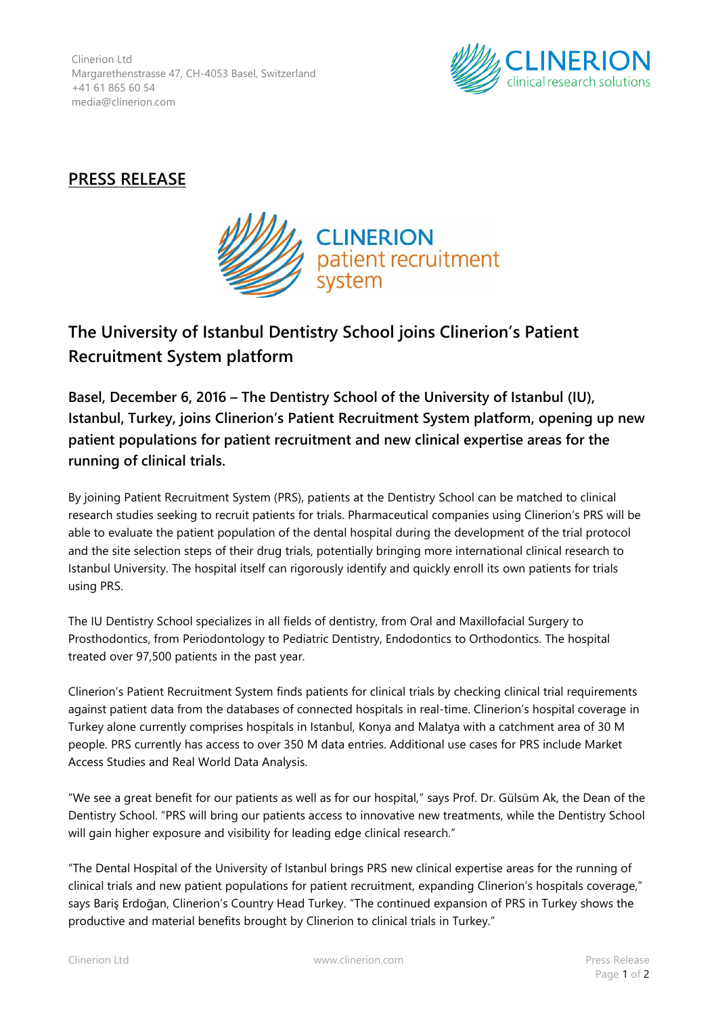Clinerion Ltd Margarethenstrasse 47, CH-4053 Basel, Switzerland +41 61 865 60 54 media@clinerion.com



## **PRESS RELEASE**



## **The University of Istanbul Dentistry School joins Clinerion's Patient Recruitment System platform**

**Basel, December 6, 2016 – The Dentistry School of the University of Istanbul (IU), Istanbul, Turkey, joins Clinerion's Patient Recruitment System platform, opening up new patient populations for patient recruitment and new clinical expertise areas for the running of clinical trials.**

By joining Patient Recruitment System (PRS), patients at the Dentistry School can be matched to clinical research studies seeking to recruit patients for trials. Pharmaceutical companies using Clinerion's PRS will be able to evaluate the patient population of the dental hospital during the development of the trial protocol and the site selection steps of their drug trials, potentially bringing more international clinical research to Istanbul University. The hospital itself can rigorously identify and quickly enroll its own patients for trials using PRS.

The IU Dentistry School specializes in all fields of dentistry, from Oral and Maxillofacial Surgery to Prosthodontics, from Periodontology to Pediatric Dentistry, Endodontics to Orthodontics. The hospital treated over 97,500 patients in the past year.

Clinerion's Patient Recruitment System finds patients for clinical trials by checking clinical trial requirements against patient data from the databases of connected hospitals in real-time. Clinerion's hospital coverage in Turkey alone currently comprises hospitals in Istanbul, Konya and Malatya with a catchment area of 30 M people. PRS currently has access to over 350 M data entries. Additional use cases for PRS include Market Access Studies and Real World Data Analysis.

"We see a great benefit for our patients as well as for our hospital," says Prof. Dr. Gülsüm Ak, the Dean of the Dentistry School. "PRS will bring our patients access to innovative new treatments, while the Dentistry School will gain higher exposure and visibility for leading edge clinical research."

"The Dental Hospital of the University of Istanbul brings PRS new clinical expertise areas for the running of clinical trials and new patient populations for patient recruitment, expanding Clinerion's hospitals coverage," says Bariş Erdoğan, Clinerion's Country Head Turkey. "The continued expansion of PRS in Turkey shows the productive and material benefits brought by Clinerion to clinical trials in Turkey."